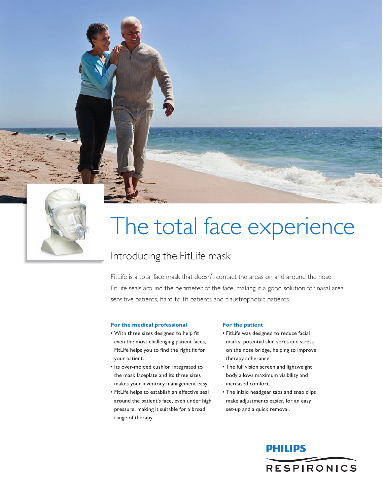# The total face experience

### Introducing the FitLife mask

FitLife is a total face mask that doesn't contact the areas on and around the nose. FitLife seals around the perimeter of the face, making it a good solution for nasal area sensitive patients, hard-to-fit patients and claustrophobic patients.

#### **For the medical professional**

- • With three sizes designed to help fit even the most challenging patient faces, FitLife helps you to find the right fit for your patient.
- Its over-molded cushion integrated to the mask faceplate and its three sizes makes your inventory management easy.
- • FitLife helps to establish an effective seal around the patient's face, even under high pressure, making it suitable for a broad range of therapy.

#### **For the patient**

- • FitLife was designed to reduce facial marks, potential skin sores and stress on the nose bridge, helping to improve therapy adherance.
- The full vision screen and lightweight body allows maximum visibility and increased comfort.
- The inlaid headgear tabs and snap clips make adjustments easier, for an easy set-up and a quick removal.